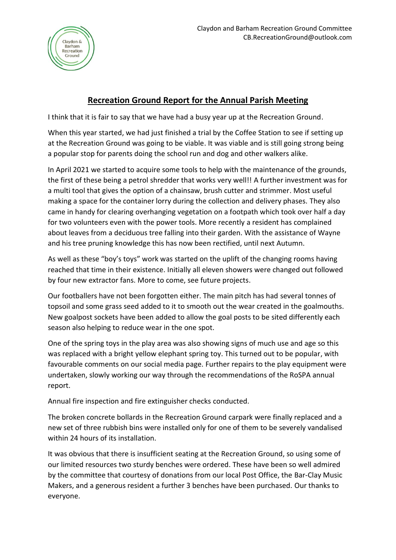

## **Recreation Ground Report for the Annual Parish Meeting**

I think that it is fair to say that we have had a busy year up at the Recreation Ground.

When this year started, we had just finished a trial by the Coffee Station to see if setting up at the Recreation Ground was going to be viable. It was viable and is still going strong being a popular stop for parents doing the school run and dog and other walkers alike.

In April 2021 we started to acquire some tools to help with the maintenance of the grounds, the first of these being a petrol shredder that works very well!! A further investment was for a multi tool that gives the option of a chainsaw, brush cutter and strimmer. Most useful making a space for the container lorry during the collection and delivery phases. They also came in handy for clearing overhanging vegetation on a footpath which took over half a day for two volunteers even with the power tools. More recently a resident has complained about leaves from a deciduous tree falling into their garden. With the assistance of Wayne and his tree pruning knowledge this has now been rectified, until next Autumn.

As well as these "boy's toys" work was started on the uplift of the changing rooms having reached that time in their existence. Initially all eleven showers were changed out followed by four new extractor fans. More to come, see future projects.

Our footballers have not been forgotten either. The main pitch has had several tonnes of topsoil and some grass seed added to it to smooth out the wear created in the goalmouths. New goalpost sockets have been added to allow the goal posts to be sited differently each season also helping to reduce wear in the one spot.

One of the spring toys in the play area was also showing signs of much use and age so this was replaced with a bright yellow elephant spring toy. This turned out to be popular, with favourable comments on our social media page. Further repairs to the play equipment were undertaken, slowly working our way through the recommendations of the RoSPA annual report.

Annual fire inspection and fire extinguisher checks conducted.

The broken concrete bollards in the Recreation Ground carpark were finally replaced and a new set of three rubbish bins were installed only for one of them to be severely vandalised within 24 hours of its installation.

It was obvious that there is insufficient seating at the Recreation Ground, so using some of our limited resources two sturdy benches were ordered. These have been so well admired by the committee that courtesy of donations from our local Post Office, the Bar-Clay Music Makers, and a generous resident a further 3 benches have been purchased. Our thanks to everyone.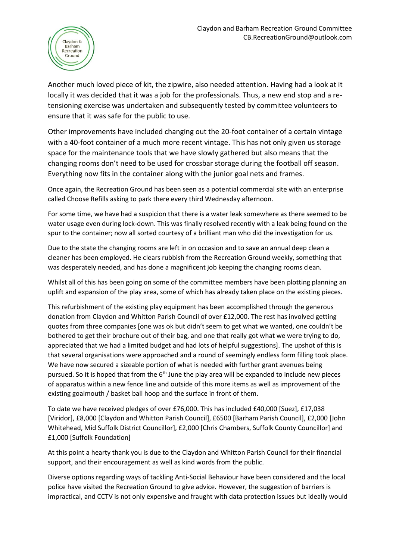

Another much loved piece of kit, the zipwire, also needed attention. Having had a look at it locally it was decided that it was a job for the professionals. Thus, a new end stop and a retensioning exercise was undertaken and subsequently tested by committee volunteers to ensure that it was safe for the public to use.

Other improvements have included changing out the 20-foot container of a certain vintage with a 40-foot container of a much more recent vintage. This has not only given us storage space for the maintenance tools that we have slowly gathered but also means that the changing rooms don't need to be used for crossbar storage during the football off season. Everything now fits in the container along with the junior goal nets and frames.

Once again, the Recreation Ground has been seen as a potential commercial site with an enterprise called Choose Refills asking to park there every third Wednesday afternoon.

For some time, we have had a suspicion that there is a water leak somewhere as there seemed to be water usage even during lock-down. This was finally resolved recently with a leak being found on the spur to the container; now all sorted courtesy of a brilliant man who did the investigation for us.

Due to the state the changing rooms are left in on occasion and to save an annual deep clean a cleaner has been employed. He clears rubbish from the Recreation Ground weekly, something that was desperately needed, and has done a magnificent job keeping the changing rooms clean.

Whilst all of this has been going on some of the committee members have been plotting planning an uplift and expansion of the play area, some of which has already taken place on the existing pieces.

This refurbishment of the existing play equipment has been accomplished through the generous donation from Claydon and Whitton Parish Council of over £12,000. The rest has involved getting quotes from three companies [one was ok but didn't seem to get what we wanted, one couldn't be bothered to get their brochure out of their bag, and one that really got what we were trying to do, appreciated that we had a limited budget and had lots of helpful suggestions]. The upshot of this is that several organisations were approached and a round of seemingly endless form filling took place. We have now secured a sizeable portion of what is needed with further grant avenues being pursued. So it is hoped that from the 6<sup>th</sup> June the play area will be expanded to include new pieces of apparatus within a new fence line and outside of this more items as well as improvement of the existing goalmouth / basket ball hoop and the surface in front of them.

To date we have received pledges of over £76,000. This has included £40,000 [Suez], £17,038 [Viridor], £8,000 [Claydon and Whitton Parish Council], £6500 [Barham Parish Council], £2,000 [John Whitehead, Mid Suffolk District Councillor], £2,000 [Chris Chambers, Suffolk County Councillor] and £1,000 [Suffolk Foundation]

At this point a hearty thank you is due to the Claydon and Whitton Parish Council for their financial support, and their encouragement as well as kind words from the public.

Diverse options regarding ways of tackling Anti-Social Behaviour have been considered and the local police have visited the Recreation Ground to give advice. However, the suggestion of barriers is impractical, and CCTV is not only expensive and fraught with data protection issues but ideally would